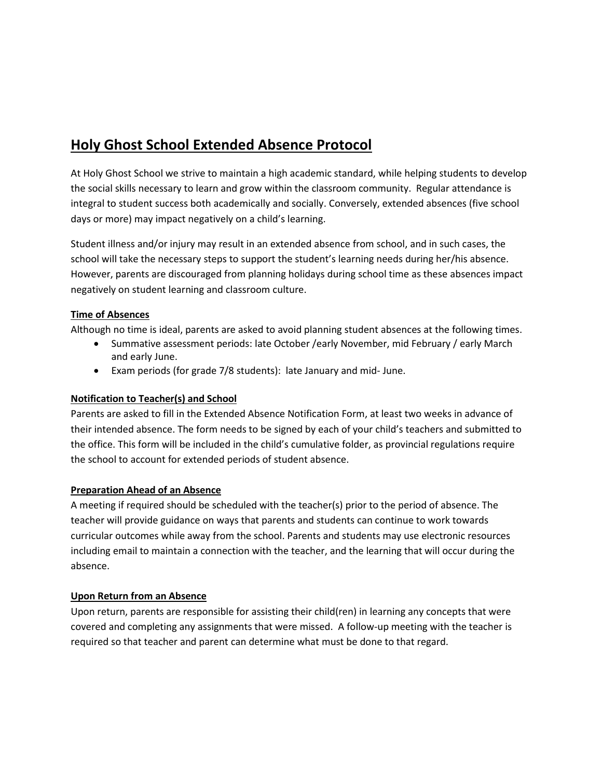## **Holy Ghost School Extended Absence Protocol**

At Holy Ghost School we strive to maintain a high academic standard, while helping students to develop the social skills necessary to learn and grow within the classroom community. Regular attendance is integral to student success both academically and socially. Conversely, extended absences (five school days or more) may impact negatively on a child's learning.

Student illness and/or injury may result in an extended absence from school, and in such cases, the school will take the necessary steps to support the student's learning needs during her/his absence. However, parents are discouraged from planning holidays during school time as these absences impact negatively on student learning and classroom culture.

### **Time of Absences**

Although no time is ideal, parents are asked to avoid planning student absences at the following times.

- Summative assessment periods: late October /early November, mid February / early March and early June.
- Exam periods (for grade 7/8 students): late January and mid- June.

#### **Notification to Teacher(s) and School**

Parents are asked to fill in the Extended Absence Notification Form, at least two weeks in advance of their intended absence. The form needs to be signed by each of your child's teachers and submitted to the office. This form will be included in the child's cumulative folder, as provincial regulations require the school to account for extended periods of student absence.

#### **Preparation Ahead of an Absence**

A meeting if required should be scheduled with the teacher(s) prior to the period of absence. The teacher will provide guidance on ways that parents and students can continue to work towards curricular outcomes while away from the school. Parents and students may use electronic resources including email to maintain a connection with the teacher, and the learning that will occur during the absence.

#### **Upon Return from an Absence**

Upon return, parents are responsible for assisting their child(ren) in learning any concepts that were covered and completing any assignments that were missed. A follow-up meeting with the teacher is required so that teacher and parent can determine what must be done to that regard.